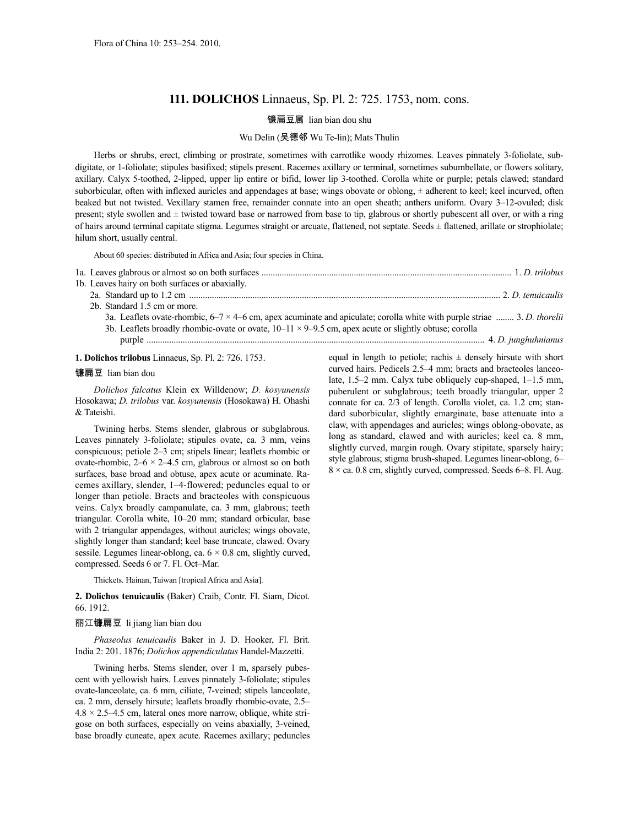# **111. DOLICHOS** Linnaeus, Sp. Pl. 2: 725. 1753, nom. cons.

## 镰扁豆属 lian bian dou shu

### Wu Delin (吴德邻 Wu Te-lin); Mats Thulin

Herbs or shrubs, erect, climbing or prostrate, sometimes with carrotlike woody rhizomes. Leaves pinnately 3-foliolate, subdigitate, or 1-foliolate; stipules basifixed; stipels present. Racemes axillary or terminal, sometimes subumbellate, or flowers solitary, axillary. Calyx 5-toothed, 2-lipped, upper lip entire or bifid, lower lip 3-toothed. Corolla white or purple; petals clawed; standard suborbicular, often with inflexed auricles and appendages at base; wings obovate or oblong, ± adherent to keel; keel incurved, often beaked but not twisted. Vexillary stamen free, remainder connate into an open sheath; anthers uniform. Ovary 3–12-ovuled; disk present; style swollen and  $\pm$  twisted toward base or narrowed from base to tip, glabrous or shortly pubescent all over, or with a ring of hairs around terminal capitate stigma. Legumes straight or arcuate, flattened, not septate. Seeds ± flattened, arillate or strophiolate; hilum short, usually central.

About 60 species: distributed in Africa and Asia; four species in China.

| 1b. Leaves hairy on both surfaces or abaxially.                                                                                 |  |
|---------------------------------------------------------------------------------------------------------------------------------|--|
|                                                                                                                                 |  |
| 2b. Standard 1.5 cm or more.                                                                                                    |  |
| 3a. Leaflets ovate-rhombic, $6-7 \times 4-6$ cm, apex acuminate and apiculate; corolla white with purple striae  3. D. thorelii |  |
| 3b. Leaflets broadly rhombic-ovate or ovate, $10-11 \times 9-9.5$ cm, apex acute or slightly obtuse; corolla                    |  |
|                                                                                                                                 |  |

**1. Dolichos trilobus** Linnaeus, Sp. Pl. 2: 726. 1753.

#### 镰扁豆 lian bian dou

*Dolichos falcatus* Klein ex Willdenow; *D. kosyunensis* Hosokawa; *D. trilobus* var. *kosyunensis* (Hosokawa) H. Ohashi & Tateishi.

Twining herbs. Stems slender, glabrous or subglabrous. Leaves pinnately 3-foliolate; stipules ovate, ca. 3 mm, veins conspicuous; petiole 2–3 cm; stipels linear; leaflets rhombic or ovate-rhombic,  $2-6 \times 2-4.5$  cm, glabrous or almost so on both surfaces, base broad and obtuse, apex acute or acuminate. Racemes axillary, slender, 1–4-flowered; peduncles equal to or longer than petiole. Bracts and bracteoles with conspicuous veins. Calyx broadly campanulate, ca. 3 mm, glabrous; teeth triangular. Corolla white, 10–20 mm; standard orbicular, base with 2 triangular appendages, without auricles; wings obovate, slightly longer than standard; keel base truncate, clawed. Ovary sessile. Legumes linear-oblong, ca.  $6 \times 0.8$  cm, slightly curved, compressed. Seeds 6 or 7. Fl. Oct–Mar.

Thickets. Hainan, Taiwan [tropical Africa and Asia].

**2. Dolichos tenuicaulis** (Baker) Craib, Contr. Fl. Siam, Dicot. 66. 1912.

#### 丽江镰扁豆 li jiang lian bian dou

*Phaseolus tenuicaulis* Baker in J. D. Hooker, Fl. Brit. India 2: 201. 1876; *Dolichos appendiculatus* Handel-Mazzetti.

Twining herbs. Stems slender, over 1 m, sparsely pubescent with yellowish hairs. Leaves pinnately 3-foliolate; stipules ovate-lanceolate, ca. 6 mm, ciliate, 7-veined; stipels lanceolate, ca. 2 mm, densely hirsute; leaflets broadly rhombic-ovate, 2.5–  $4.8 \times 2.5 - 4.5$  cm, lateral ones more narrow, oblique, white strigose on both surfaces, especially on veins abaxially, 3-veined, base broadly cuneate, apex acute. Racemes axillary; peduncles equal in length to petiole; rachis  $\pm$  densely hirsute with short curved hairs. Pedicels 2.5–4 mm; bracts and bracteoles lanceolate, 1.5–2 mm. Calyx tube obliquely cup-shaped, 1–1.5 mm, puberulent or subglabrous; teeth broadly triangular, upper 2 connate for ca. 2/3 of length. Corolla violet, ca. 1.2 cm; standard suborbicular, slightly emarginate, base attenuate into a claw, with appendages and auricles; wings oblong-obovate, as long as standard, clawed and with auricles; keel ca. 8 mm, slightly curved, margin rough. Ovary stipitate, sparsely hairy; style glabrous; stigma brush-shaped. Legumes linear-oblong, 6– 8 × ca. 0.8 cm, slightly curved, compressed. Seeds 6–8. Fl. Aug.